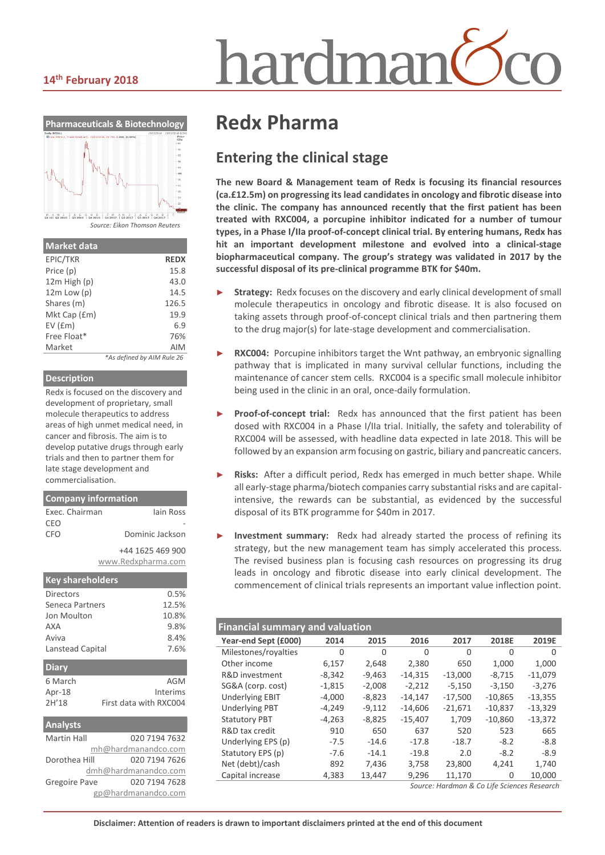# hardmar

#### **14th February 2018**



*Source: Eikon Thomson Reuters*

| <b>Market data</b> |                            |
|--------------------|----------------------------|
| EPIC/TKR           | <b>REDX</b>                |
| Price (p)          | 15.8                       |
| $12m$ High $(p)$   | 43.0                       |
| $12m$ Low $(p)$    | 14.5                       |
| Shares (m)         | 126.5                      |
| Mkt Cap (£m)       | 19.9                       |
| $EV$ ( $Em$ )      | 6.9                        |
| Free Float*        | 76%                        |
| Market             | AIM                        |
|                    | *As defined by AIM Rule 26 |

#### **Description**

Redx is focused on the discovery and development of proprietary, small molecule therapeutics to address areas of high unmet medical need, in cancer and fibrosis. The aim is to develop putative drugs through early trials and then to partner them for late stage development and commercialisation.

#### **Company information**

| lain Ross          |
|--------------------|
|                    |
| Dominic Jackson    |
| +44 1625 469 900   |
| www.Redxpharma.com |
|                    |

| <b>Key shareholders</b> |                        |
|-------------------------|------------------------|
| Directors               | 0.5%                   |
| Seneca Partners         | 12.5%                  |
| Jon Moulton             | 10.8%                  |
| AXA                     | 9.8%                   |
| Aviva                   | 8.4%                   |
| Lanstead Capital        | 7.6%                   |
| <b>Diary</b>            |                        |
| 6 March                 | AGM                    |
| Apr-18                  | Interims               |
| 2H'18                   | First data with RXC004 |

| <b>Analysts</b>      |                     |  |  |  |  |
|----------------------|---------------------|--|--|--|--|
| <b>Martin Hall</b>   | 020 7194 7632       |  |  |  |  |
|                      | mh@hardmanandco.com |  |  |  |  |
| Dorothea Hill        | 020 7194 7626       |  |  |  |  |
| dmh@hardmanandco.com |                     |  |  |  |  |
| <b>Gregoire Pave</b> | 020 7194 7628       |  |  |  |  |
| gp@hardmanandco.com  |                     |  |  |  |  |

## **Redx Pharma**

## **Entering the clinical stage**

**The new Board & Management team of Redx is focusing its financial resources (ca.£12.5m) on progressing its lead candidatesin oncology and fibrotic disease into the clinic. The company has announced recently that the first patient has been treated with RXC004, a porcupine inhibitor indicated for a number of tumour types, in a Phase I/IIa proof-of-concept clinical trial. By entering humans, Redx has hit an important development milestone and evolved into a clinical-stage biopharmaceutical company. The group's strategy was validated in 2017 by the successful disposal of its pre-clinical programme BTK for \$40m.** 

- Strategy: Redx focuses on the discovery and early clinical development of small molecule therapeutics in oncology and fibrotic disease. It is also focused on taking assets through proof-of-concept clinical trials and then partnering them to the drug major(s) for late-stage development and commercialisation.
- **RXC004:** Porcupine inhibitors target the Wnt pathway, an embryonic signalling pathway that is implicated in many survival cellular functions, including the maintenance of cancer stem cells. RXC004 is a specific small molecule inhibitor being used in the clinic in an oral, once-daily formulation.
- Proof-of-concept trial: Redx has announced that the first patient has been dosed with RXC004 in a Phase I/IIa trial. Initially, the safety and tolerability of RXC004 will be assessed, with headline data expected in late 2018. This will be followed by an expansion arm focusing on gastric, biliary and pancreatic cancers.
- Risks: After a difficult period, Redx has emerged in much better shape. While all early-stage pharma/biotech companies carry substantial risks and are capitalintensive, the rewards can be substantial, as evidenced by the successful disposal of its BTK programme for \$40m in 2017.
- **Investment summary:** Redx had already started the process of refining its strategy, but the new management team has simply accelerated this process. The revised business plan is focusing cash resources on progressing its drug leads in oncology and fibrotic disease into early clinical development. The commencement of clinical trials represents an important value inflection point.

| <b>Financial summary and valuation</b> |          |          |           |           |           |           |  |  |  |
|----------------------------------------|----------|----------|-----------|-----------|-----------|-----------|--|--|--|
| Year-end Sept (£000)                   | 2014     | 2015     | 2016      | 2017      | 2018E     | 2019E     |  |  |  |
| Milestones/royalties                   | $\Omega$ | $\Omega$ | $\Omega$  | 0         | 0         | $\Omega$  |  |  |  |
| Other income                           | 6,157    | 2,648    | 2,380     | 650       | 1,000     | 1,000     |  |  |  |
| R&D investment                         | $-8,342$ | $-9,463$ | $-14,315$ | $-13,000$ | $-8,715$  | $-11,079$ |  |  |  |
| SG&A (corp. cost)                      | $-1,815$ | $-2,008$ | $-2,212$  | $-5,150$  | $-3.150$  | $-3,276$  |  |  |  |
| <b>Underlying EBIT</b>                 | $-4,000$ | $-8,823$ | $-14,147$ | $-17,500$ | $-10,865$ | $-13,355$ |  |  |  |
| <b>Underlying PBT</b>                  | $-4,249$ | $-9,112$ | $-14,606$ | $-21,671$ | $-10,837$ | $-13,329$ |  |  |  |
| <b>Statutory PBT</b>                   | $-4,263$ | $-8,825$ | $-15,407$ | 1,709     | $-10,860$ | $-13,372$ |  |  |  |
| R&D tax credit                         | 910      | 650      | 637       | 520       | 523       | 665       |  |  |  |
| Underlying EPS (p)                     | $-7.5$   | $-14.6$  | $-17.8$   | $-18.7$   | $-8.2$    | $-8.8$    |  |  |  |
| Statutory EPS (p)                      | $-7.6$   | $-14.1$  | $-19.8$   | 2.0       | $-8.2$    | $-8.9$    |  |  |  |
| Net (debt)/cash                        | 892      | 7.436    | 3,758     | 23,800    | 4.241     | 1,740     |  |  |  |
| Capital increase                       | 4,383    | 13,447   | 9,296     | 11,170    | $\Omega$  | 10,000    |  |  |  |
|                                        |          |          |           |           |           |           |  |  |  |

*Source: Hardman & Co Life Sciences Research*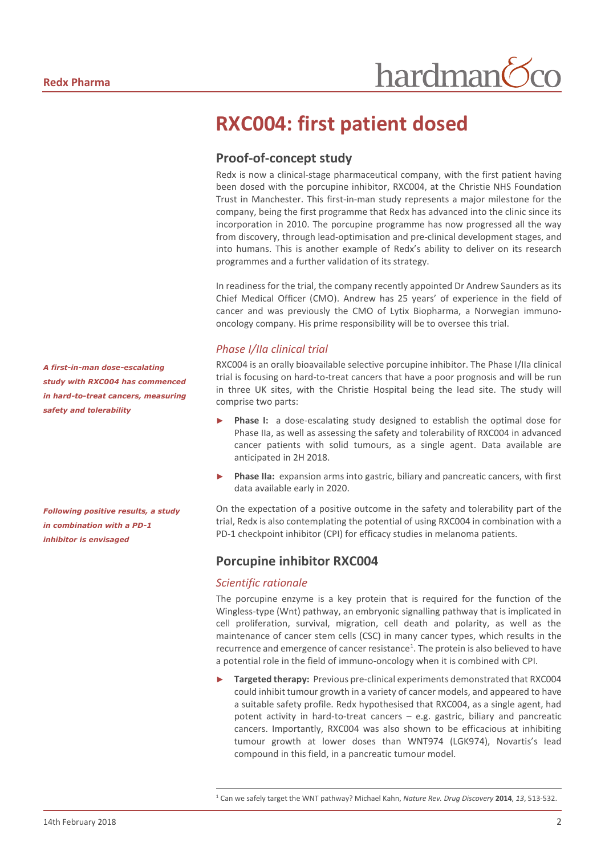## **RXC004: first patient dosed**

### **Proof-of-concept study**

Redx is now a clinical-stage pharmaceutical company, with the first patient having been dosed with the porcupine inhibitor, RXC004, at the Christie NHS Foundation Trust in Manchester. This first-in-man study represents a major milestone for the company, being the first programme that Redx has advanced into the clinic since its incorporation in 2010. The porcupine programme has now progressed all the way from discovery, through lead-optimisation and pre-clinical development stages, and into humans. This is another example of Redx's ability to deliver on its research programmes and a further validation of its strategy.

In readiness for the trial, the company recently appointed Dr Andrew Saunders as its Chief Medical Officer (CMO). Andrew has 25 years' of experience in the field of cancer and was previously the CMO of Lytix Biopharma, a Norwegian immunooncology company. His prime responsibility will be to oversee this trial.

#### *Phase I/IIa clinical trial*

RXC004 is an orally bioavailable selective porcupine inhibitor. The Phase I/IIa clinical trial is focusing on hard-to-treat cancers that have a poor prognosis and will be run in three UK sites, with the Christie Hospital being the lead site. The study will comprise two parts:

- **Phase I:** a dose-escalating study designed to establish the optimal dose for Phase IIa, as well as assessing the safety and tolerability of RXC004 in advanced cancer patients with solid tumours, as a single agent. Data available are anticipated in 2H 2018.
- Phase IIa: expansion arms into gastric, biliary and pancreatic cancers, with first data available early in 2020.

On the expectation of a positive outcome in the safety and tolerability part of the trial, Redx is also contemplating the potential of using RXC004 in combination with a PD-1 checkpoint inhibitor (CPI) for efficacy studies in melanoma patients.

#### **Porcupine inhibitor RXC004**

#### *Scientific rationale*

 $\overline{a}$ 

The porcupine enzyme is a key protein that is required for the function of the Wingless-type (Wnt) pathway, an embryonic signalling pathway that is implicated in cell proliferation, survival, migration, cell death and polarity, as well as the maintenance of cancer stem cells (CSC) in many cancer types, which results in the recurrence and emergence of cancer resistance<sup>1</sup>. The protein is also believed to have a potential role in the field of immuno-oncology when it is combined with CPI.

Targeted therapy: Previous pre-clinical experiments demonstrated that RXC004 could inhibit tumour growth in a variety of cancer models, and appeared to have a suitable safety profile. Redx hypothesised that RXC004, as a single agent, had potent activity in hard-to-treat cancers – e.g. gastric, biliary and pancreatic cancers. Importantly, RXC004 was also shown to be efficacious at inhibiting tumour growth at lower doses than WNT974 (LGK974), Novartis's lead compound in this field, in a pancreatic tumour model.

*A first-in-man dose-escalating study with RXC004 has commenced in hard-to-treat cancers, measuring safety and tolerability* 

*Following positive results, a study in combination with a PD-1 inhibitor is envisaged*

<sup>1</sup> Can we safely target the WNT pathway? Michael Kahn, *Nature Rev. Drug Discovery* **2014**, *13*, 513-532.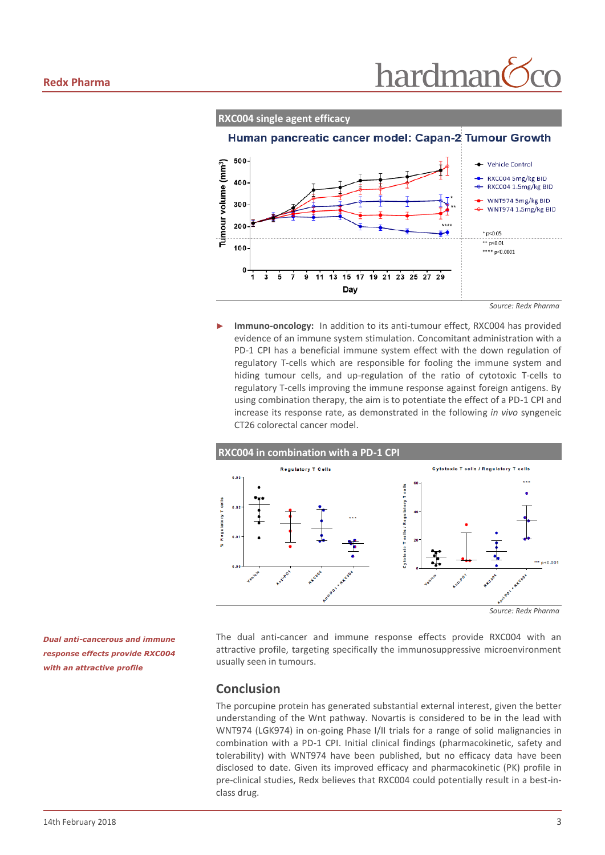

*Source: Redx Pharma*

Immuno-oncology: In addition to its anti-tumour effect, RXC004 has provided evidence of an immune system stimulation. Concomitant administration with a PD-1 CPI has a beneficial immune system effect with the down regulation of regulatory T-cells which are responsible for fooling the immune system and hiding tumour cells, and up-regulation of the ratio of cytotoxic T-cells to regulatory T-cells improving the immune response against foreign antigens. By using combination therapy, the aim is to potentiate the effect of a PD-1 CPI and increase its response rate, as demonstrated in the following *in vivo* syngeneic CT26 colorectal cancer model.



The dual anti-cancer and immune response effects provide RXC004 with an attractive profile, targeting specifically the immunosuppressive microenvironment usually seen in tumours.

#### **Conclusion**

The porcupine protein has generated substantial external interest, given the better understanding of the Wnt pathway. Novartis is considered to be in the lead with WNT974 (LGK974) in on-going Phase I/II trials for a range of solid malignancies in combination with a PD-1 CPI. Initial clinical findings (pharmacokinetic, safety and tolerability) with WNT974 have been published, but no efficacy data have been disclosed to date. Given its improved efficacy and pharmacokinetic (PK) profile in pre-clinical studies, Redx believes that RXC004 could potentially result in a best-inclass drug.

*Dual anti-cancerous and immune response effects provide RXC004 with an attractive profile*